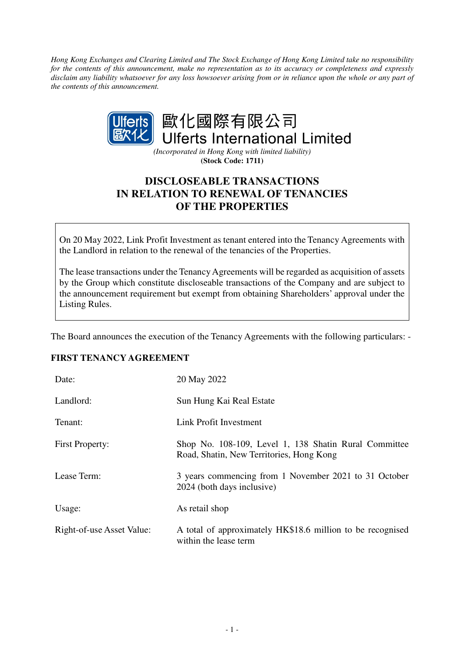*Hong Kong Exchanges and Clearing Limited and The Stock Exchange of Hong Kong Limited take no responsibility for the contents of this announcement, make no representation as to its accuracy or completeness and expressly disclaim any liability whatsoever for any loss howsoever arising from or in reliance upon the whole or any part of the contents of this announcement.* 



*(Incorporated in Hong Kong with limited liability)*  **(Stock Code: 1711)** 

# **DISCLOSEABLE TRANSACTIONS IN RELATION TO RENEWAL OF TENANCIES OF THE PROPERTIES**

On 20 May 2022, Link Profit Investment as tenant entered into the Tenancy Agreements with the Landlord in relation to the renewal of the tenancies of the Properties.

The lease transactions under the Tenancy Agreements will be regarded as acquisition of assets by the Group which constitute discloseable transactions of the Company and are subject to the announcement requirement but exempt from obtaining Shareholders' approval under the Listing Rules.

The Board announces the execution of the Tenancy Agreements with the following particulars: -

### **FIRST TENANCY AGREEMENT**

| Date:                     | 20 May 2022                                                                                       |
|---------------------------|---------------------------------------------------------------------------------------------------|
| Landlord:                 | Sun Hung Kai Real Estate                                                                          |
| Tenant:                   | Link Profit Investment                                                                            |
| <b>First Property:</b>    | Shop No. 108-109, Level 1, 138 Shatin Rural Committee<br>Road, Shatin, New Territories, Hong Kong |
| Lease Term:               | 3 years commencing from 1 November 2021 to 31 October<br>2024 (both days inclusive)               |
| Usage:                    | As retail shop                                                                                    |
| Right-of-use Asset Value: | A total of approximately HK\$18.6 million to be recognised<br>within the lease term               |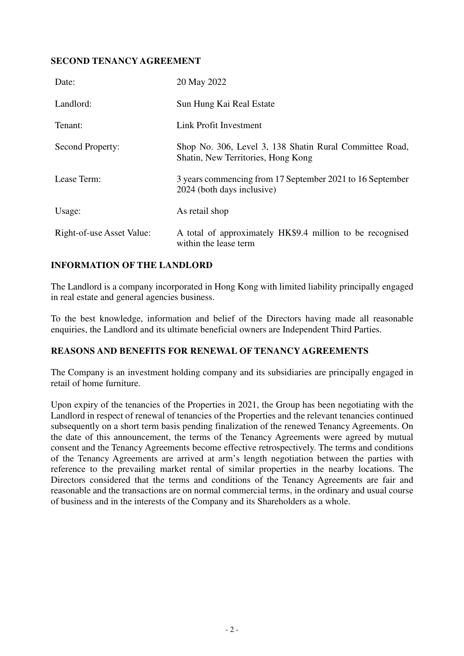### **SECOND TENANCY AGREEMENT**

| Date:                     | 20 May 2022                                                                                   |
|---------------------------|-----------------------------------------------------------------------------------------------|
| Landlord:                 | Sun Hung Kai Real Estate                                                                      |
| Tenant:                   | Link Profit Investment                                                                        |
| Second Property:          | Shop No. 306, Level 3, 138 Shatin Rural Committee Road,<br>Shatin, New Territories, Hong Kong |
| Lease Term:               | 3 years commencing from 17 September 2021 to 16 September<br>2024 (both days inclusive)       |
| Usage:                    | As retail shop                                                                                |
| Right-of-use Asset Value: | A total of approximately HK\$9.4 million to be recognised<br>within the lease term            |

### **INFORMATION OF THE LANDLORD**

The Landlord is a company incorporated in Hong Kong with limited liability principally engaged in real estate and general agencies business.

To the best knowledge, information and belief of the Directors having made all reasonable enquiries, the Landlord and its ultimate beneficial owners are Independent Third Parties.

### **REASONS AND BENEFITS FOR RENEWAL OF TENANCY AGREEMENTS**

The Company is an investment holding company and its subsidiaries are principally engaged in retail of home furniture.

Upon expiry of the tenancies of the Properties in 2021, the Group has been negotiating with the Landlord in respect of renewal of tenancies of the Properties and the relevant tenancies continued subsequently on a short term basis pending finalization of the renewed Tenancy Agreements. On the date of this announcement, the terms of the Tenancy Agreements were agreed by mutual consent and the Tenancy Agreements become effective retrospectively. The terms and conditions of the Tenancy Agreements are arrived at arm's length negotiation between the parties with reference to the prevailing market rental of similar properties in the nearby locations. The Directors considered that the terms and conditions of the Tenancy Agreements are fair and reasonable and the transactions are on normal commercial terms, in the ordinary and usual course of business and in the interests of the Company and its Shareholders as a whole.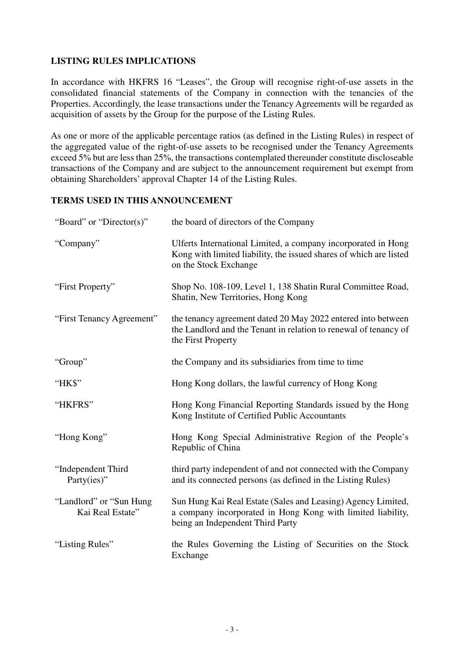## **LISTING RULES IMPLICATIONS**

In accordance with HKFRS 16 "Leases", the Group will recognise right-of-use assets in the consolidated financial statements of the Company in connection with the tenancies of the Properties. Accordingly, the lease transactions under the Tenancy Agreements will be regarded as acquisition of assets by the Group for the purpose of the Listing Rules.

As one or more of the applicable percentage ratios (as defined in the Listing Rules) in respect of the aggregated value of the right-of-use assets to be recognised under the Tenancy Agreements exceed 5% but are less than 25%, the transactions contemplated thereunder constitute discloseable transactions of the Company and are subject to the announcement requirement but exempt from obtaining Shareholders' approval Chapter 14 of the Listing Rules.

## **TERMS USED IN THIS ANNOUNCEMENT**

| "Board" or "Director(s)"                    | the board of directors of the Company                                                                                                                           |
|---------------------------------------------|-----------------------------------------------------------------------------------------------------------------------------------------------------------------|
| "Company"                                   | Ulferts International Limited, a company incorporated in Hong<br>Kong with limited liability, the issued shares of which are listed<br>on the Stock Exchange    |
| "First Property"                            | Shop No. 108-109, Level 1, 138 Shatin Rural Committee Road,<br>Shatin, New Territories, Hong Kong                                                               |
| "First Tenancy Agreement"                   | the tenancy agreement dated 20 May 2022 entered into between<br>the Landlord and the Tenant in relation to renewal of tenancy of<br>the First Property          |
| "Group"                                     | the Company and its subsidiaries from time to time                                                                                                              |
| "HK\$"                                      | Hong Kong dollars, the lawful currency of Hong Kong                                                                                                             |
| "HKFRS"                                     | Hong Kong Financial Reporting Standards issued by the Hong<br>Kong Institute of Certified Public Accountants                                                    |
| "Hong Kong"                                 | Hong Kong Special Administrative Region of the People's<br>Republic of China                                                                                    |
| "Independent Third<br>Party(ies)"           | third party independent of and not connected with the Company<br>and its connected persons (as defined in the Listing Rules)                                    |
| "Landlord" or "Sun Hung<br>Kai Real Estate" | Sun Hung Kai Real Estate (Sales and Leasing) Agency Limited,<br>a company incorporated in Hong Kong with limited liability,<br>being an Independent Third Party |
| "Listing Rules"                             | the Rules Governing the Listing of Securities on the Stock<br>Exchange                                                                                          |